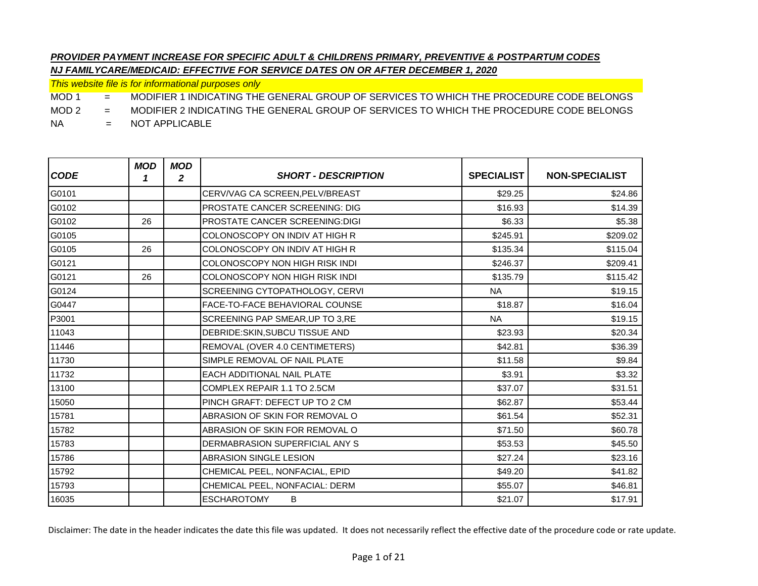*This website file is for informational purposes only*

MOD 1 = MODIFIER 1 INDICATING THE GENERAL GROUP OF SERVICES TO WHICH THE PROCEDURE CODE BELONGS

MOD 2 = MODIFIER 2 INDICATING THE GENERAL GROUP OF SERVICES TO WHICH THE PROCEDURE CODE BELONGS

NA = NOT APPLICABLE

| <b>CODE</b> | <b>MOD</b><br>1 | <b>MOD</b><br>2 | <b>SHORT - DESCRIPTION</b>            | <b>SPECIALIST</b> | <b>NON-SPECIALIST</b> |
|-------------|-----------------|-----------------|---------------------------------------|-------------------|-----------------------|
| G0101       |                 |                 | CERV/VAG CA SCREEN, PELV/BREAST       | \$29.25           | \$24.86               |
| G0102       |                 |                 | <b>PROSTATE CANCER SCREENING: DIG</b> | \$16.93           | \$14.39               |
| G0102       | 26              |                 | <b>PROSTATE CANCER SCREENING:DIGI</b> | \$6.33            | \$5.38                |
| G0105       |                 |                 | COLONOSCOPY ON INDIV AT HIGH R        | \$245.91          | \$209.02              |
| G0105       | 26              |                 | COLONOSCOPY ON INDIV AT HIGH R        | \$135.34          | \$115.04              |
| G0121       |                 |                 | COLONOSCOPY NON HIGH RISK INDI        | \$246.37          | \$209.41              |
| G0121       | 26              |                 | COLONOSCOPY NON HIGH RISK INDI        | \$135.79          | \$115.42              |
| G0124       |                 |                 | SCREENING CYTOPATHOLOGY, CERVI        | <b>NA</b>         | \$19.15               |
| G0447       |                 |                 | FACE-TO-FACE BEHAVIORAL COUNSE        | \$18.87           | \$16.04               |
| P3001       |                 |                 | SCREENING PAP SMEAR, UP TO 3, RE      | <b>NA</b>         | \$19.15               |
| 11043       |                 |                 | DEBRIDE:SKIN, SUBCU TISSUE AND        | \$23.93           | \$20.34               |
| 11446       |                 |                 | REMOVAL (OVER 4.0 CENTIMETERS)        | \$42.81           | \$36.39               |
| 11730       |                 |                 | SIMPLE REMOVAL OF NAIL PLATE          | \$11.58           | \$9.84                |
| 11732       |                 |                 | EACH ADDITIONAL NAIL PLATE            | \$3.91            | \$3.32                |
| 13100       |                 |                 | COMPLEX REPAIR 1.1 TO 2.5CM           | \$37.07           | \$31.51               |
| 15050       |                 |                 | PINCH GRAFT: DEFECT UP TO 2 CM        | \$62.87           | \$53.44               |
| 15781       |                 |                 | ABRASION OF SKIN FOR REMOVAL O        | \$61.54           | \$52.31               |
| 15782       |                 |                 | ABRASION OF SKIN FOR REMOVAL O        | \$71.50           | \$60.78               |
| 15783       |                 |                 | DERMABRASION SUPERFICIAL ANY S        | \$53.53           | \$45.50               |
| 15786       |                 |                 | <b>ABRASION SINGLE LESION</b>         | \$27.24           | \$23.16               |
| 15792       |                 |                 | CHEMICAL PEEL, NONFACIAL, EPID        | \$49.20           | \$41.82               |
| 15793       |                 |                 | CHEMICAL PEEL, NONFACIAL: DERM        | \$55.07           | \$46.81               |
| 16035       |                 |                 | <b>ESCHAROTOMY</b><br>B               | \$21.07           | \$17.91               |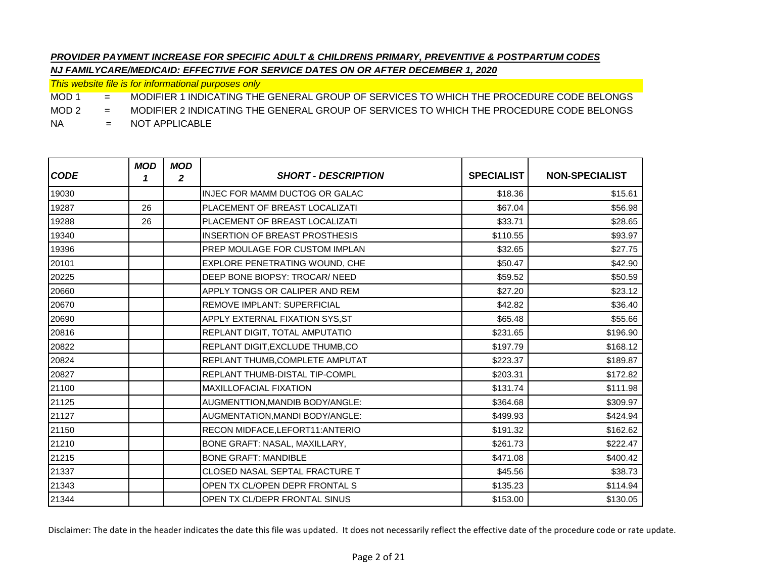*This website file is for informational purposes only*

MOD 1 = MODIFIER 1 INDICATING THE GENERAL GROUP OF SERVICES TO WHICH THE PROCEDURE CODE BELONGS

MOD 2 = MODIFIER 2 INDICATING THE GENERAL GROUP OF SERVICES TO WHICH THE PROCEDURE CODE BELONGS

NA = NOT APPLICABLE

| <b>CODE</b> | <b>MOD</b><br>1 | <b>MOD</b><br>2 | <b>SHORT - DESCRIPTION</b>            | <b>SPECIALIST</b> | <b>NON-SPECIALIST</b> |
|-------------|-----------------|-----------------|---------------------------------------|-------------------|-----------------------|
| 19030       |                 |                 | INJEC FOR MAMM DUCTOG OR GALAC        | \$18.36           | \$15.61               |
| 19287       | 26              |                 | PLACEMENT OF BREAST LOCALIZATI        | \$67.04           | \$56.98               |
| 19288       | 26              |                 | PLACEMENT OF BREAST LOCALIZATI        | \$33.71           | \$28.65               |
| 19340       |                 |                 | <b>INSERTION OF BREAST PROSTHESIS</b> | \$110.55          | \$93.97               |
| 19396       |                 |                 | PREP MOULAGE FOR CUSTOM IMPLAN        | \$32.65           | \$27.75               |
| 20101       |                 |                 | EXPLORE PENETRATING WOUND, CHE        | \$50.47           | \$42.90               |
| 20225       |                 |                 | DEEP BONE BIOPSY: TROCAR/ NEED        | \$59.52           | \$50.59               |
| 20660       |                 |                 | APPLY TONGS OR CALIPER AND REM        | \$27.20           | \$23.12               |
| 20670       |                 |                 | <b>REMOVE IMPLANT: SUPERFICIAL</b>    | \$42.82           | \$36.40               |
| 20690       |                 |                 | APPLY EXTERNAL FIXATION SYS, ST       | \$65.48           | \$55.66               |
| 20816       |                 |                 | REPLANT DIGIT, TOTAL AMPUTATIO        | \$231.65          | \$196.90              |
| 20822       |                 |                 | REPLANT DIGIT, EXCLUDE THUMB, CO      | \$197.79          | \$168.12              |
| 20824       |                 |                 | REPLANT THUMB, COMPLETE AMPUTAT       | \$223.37          | \$189.87              |
| 20827       |                 |                 | <b>REPLANT THUMB-DISTAL TIP-COMPL</b> | \$203.31          | \$172.82              |
| 21100       |                 |                 | <b>MAXILLOFACIAL FIXATION</b>         | \$131.74          | \$111.98              |
| 21125       |                 |                 | AUGMENTTION, MANDIB BODY/ANGLE:       | \$364.68          | \$309.97              |
| 21127       |                 |                 | AUGMENTATION, MANDI BODY/ANGLE:       | \$499.93          | \$424.94              |
| 21150       |                 |                 | RECON MIDFACE, LEFORT11: ANTERIO      | \$191.32          | \$162.62              |
| 21210       |                 |                 | BONE GRAFT: NASAL, MAXILLARY,         | \$261.73          | \$222.47              |
| 21215       |                 |                 | <b>BONE GRAFT: MANDIBLE</b>           | \$471.08          | \$400.42              |
| 21337       |                 |                 | CLOSED NASAL SEPTAL FRACTURE T        | \$45.56           | \$38.73               |
| 21343       |                 |                 | OPEN TX CL/OPEN DEPR FRONTAL S        | \$135.23          | \$114.94              |
| 21344       |                 |                 | OPEN TX CL/DEPR FRONTAL SINUS         | \$153.00          | \$130.05              |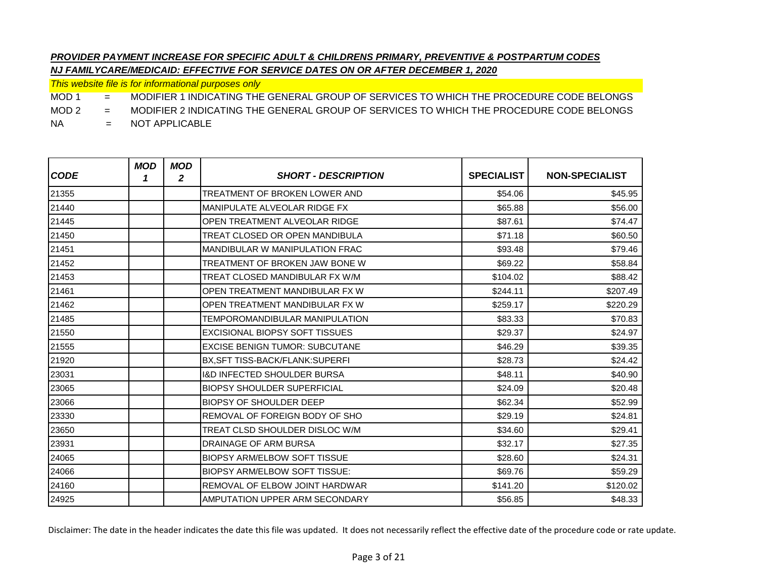*This website file is for informational purposes only*

MOD 1 = MODIFIER 1 INDICATING THE GENERAL GROUP OF SERVICES TO WHICH THE PROCEDURE CODE BELONGS

MOD 2 = MODIFIER 2 INDICATING THE GENERAL GROUP OF SERVICES TO WHICH THE PROCEDURE CODE BELONGS

NA = NOT APPLICABLE

| <b>CODE</b> | <b>MOD</b><br>1 | <b>MOD</b><br>$\overline{\mathbf{2}}$ | <b>SHORT - DESCRIPTION</b>             | <b>SPECIALIST</b> | <b>NON-SPECIALIST</b> |
|-------------|-----------------|---------------------------------------|----------------------------------------|-------------------|-----------------------|
| 21355       |                 |                                       | TREATMENT OF BROKEN LOWER AND          | \$54.06           | \$45.95               |
| 21440       |                 |                                       | MANIPULATE ALVEOLAR RIDGE FX           | \$65.88           | \$56.00               |
| 21445       |                 |                                       | OPEN TREATMENT ALVEOLAR RIDGE          | \$87.61           | \$74.47               |
| 21450       |                 |                                       | TREAT CLOSED OR OPEN MANDIBULA         | \$71.18           | \$60.50               |
| 21451       |                 |                                       | <b>MANDIBULAR W MANIPULATION FRAC</b>  | \$93.48           | \$79.46               |
| 21452       |                 |                                       | TREATMENT OF BROKEN JAW BONE W         | \$69.22           | \$58.84               |
| 21453       |                 |                                       | TREAT CLOSED MANDIBULAR FX W/M         | \$104.02          | \$88.42               |
| 21461       |                 |                                       | OPEN TREATMENT MANDIBULAR FX W         | \$244.11          | \$207.49              |
| 21462       |                 |                                       | OPEN TREATMENT MANDIBULAR FX W         | \$259.17          | \$220.29              |
| 21485       |                 |                                       | TEMPOROMANDIBULAR MANIPULATION         | \$83.33           | \$70.83               |
| 21550       |                 |                                       | <b>EXCISIONAL BIOPSY SOFT TISSUES</b>  | \$29.37           | \$24.97               |
| 21555       |                 |                                       | <b>EXCISE BENIGN TUMOR: SUBCUTANE</b>  | \$46.29           | \$39.35               |
| 21920       |                 |                                       | <b>BX.SFT TISS-BACK/FLANK:SUPERFI</b>  | \$28.73           | \$24.42               |
| 23031       |                 |                                       | <b>I&amp;D INFECTED SHOULDER BURSA</b> | \$48.11           | \$40.90               |
| 23065       |                 |                                       | <b>BIOPSY SHOULDER SUPERFICIAL</b>     | \$24.09           | \$20.48               |
| 23066       |                 |                                       | <b>BIOPSY OF SHOULDER DEEP</b>         | \$62.34           | \$52.99               |
| 23330       |                 |                                       | REMOVAL OF FOREIGN BODY OF SHO         | \$29.19           | \$24.81               |
| 23650       |                 |                                       | TREAT CLSD SHOULDER DISLOC W/M         | \$34.60           | \$29.41               |
| 23931       |                 |                                       | <b>DRAINAGE OF ARM BURSA</b>           | \$32.17           | \$27.35               |
| 24065       |                 |                                       | <b>BIOPSY ARM/ELBOW SOFT TISSUE</b>    | \$28.60           | \$24.31               |
| 24066       |                 |                                       | <b>BIOPSY ARM/ELBOW SOFT TISSUE:</b>   | \$69.76           | \$59.29               |
| 24160       |                 |                                       | <b>REMOVAL OF ELBOW JOINT HARDWAR</b>  | \$141.20          | \$120.02              |
| 24925       |                 |                                       | AMPUTATION UPPER ARM SECONDARY         | \$56.85           | \$48.33               |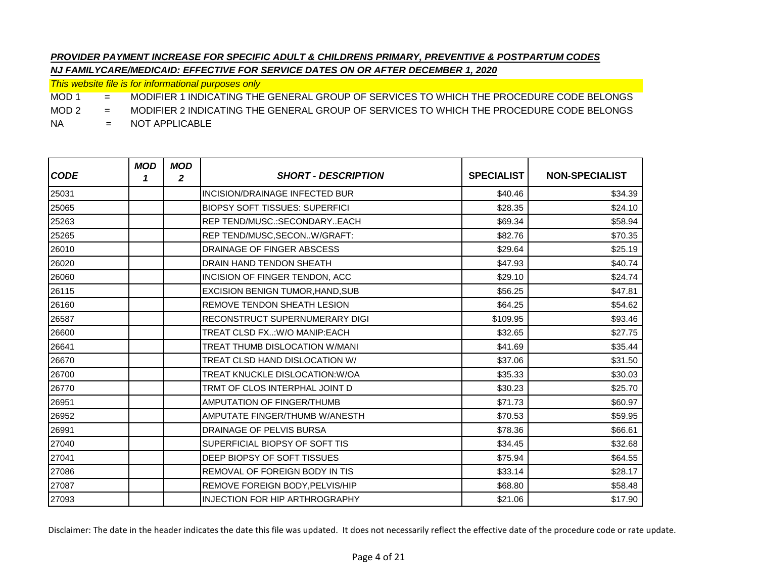*This website file is for informational purposes only*

MOD 1 = MODIFIER 1 INDICATING THE GENERAL GROUP OF SERVICES TO WHICH THE PROCEDURE CODE BELONGS

MOD 2 = MODIFIER 2 INDICATING THE GENERAL GROUP OF SERVICES TO WHICH THE PROCEDURE CODE BELONGS

NA = NOT APPLICABLE

| <b>CODE</b> | <b>MOD</b><br>1 | <b>MOD</b><br>2 | <b>SHORT - DESCRIPTION</b>            | <b>SPECIALIST</b> | <b>NON-SPECIALIST</b> |
|-------------|-----------------|-----------------|---------------------------------------|-------------------|-----------------------|
| 25031       |                 |                 | <b>INCISION/DRAINAGE INFECTED BUR</b> | \$40.46           | \$34.39               |
| 25065       |                 |                 | <b>BIOPSY SOFT TISSUES: SUPERFICI</b> | \$28.35           | \$24.10               |
| 25263       |                 |                 | <b>REP TEND/MUSC.:SECONDARYEACH</b>   | \$69.34           | \$58.94               |
| 25265       |                 |                 | REP TEND/MUSC, SECONW/GRAFT:          | \$82.76           | \$70.35               |
| 26010       |                 |                 | DRAINAGE OF FINGER ABSCESS            | \$29.64           | \$25.19               |
| 26020       |                 |                 | <b>DRAIN HAND TENDON SHEATH</b>       | \$47.93           | \$40.74               |
| 26060       |                 |                 | <b>INCISION OF FINGER TENDON, ACC</b> | \$29.10           | \$24.74               |
| 26115       |                 |                 | EXCISION BENIGN TUMOR, HAND, SUB      | \$56.25           | \$47.81               |
| 26160       |                 |                 | <b>REMOVE TENDON SHEATH LESION</b>    | \$64.25           | \$54.62               |
| 26587       |                 |                 | RECONSTRUCT SUPERNUMERARY DIGI        | \$109.95          | \$93.46               |
| 26600       |                 |                 | TREAT CLSD FX:W/O MANIP:EACH          | \$32.65           | \$27.75               |
| 26641       |                 |                 | TREAT THUMB DISLOCATION W/MANI        | \$41.69           | \$35.44               |
| 26670       |                 |                 | TREAT CLSD HAND DISLOCATION W/        | \$37.06           | \$31.50               |
| 26700       |                 |                 | TREAT KNUCKLE DISLOCATION: W/OA       | \$35.33           | \$30.03               |
| 26770       |                 |                 | TRMT OF CLOS INTERPHAL JOINT D        | \$30.23           | \$25.70               |
| 26951       |                 |                 | <b>AMPUTATION OF FINGER/THUMB</b>     | \$71.73           | \$60.97               |
| 26952       |                 |                 | AMPUTATE FINGER/THUMB W/ANESTH        | \$70.53           | \$59.95               |
| 26991       |                 |                 | DRAINAGE OF PELVIS BURSA              | \$78.36           | \$66.61               |
| 27040       |                 |                 | SUPERFICIAL BIOPSY OF SOFT TIS        | \$34.45           | \$32.68               |
| 27041       |                 |                 | DEEP BIOPSY OF SOFT TISSUES           | \$75.94           | \$64.55               |
| 27086       |                 |                 | <b>REMOVAL OF FOREIGN BODY IN TIS</b> | \$33.14           | \$28.17               |
| 27087       |                 |                 | REMOVE FOREIGN BODY, PELVIS/HIP       | \$68.80           | \$58.48               |
| 27093       |                 |                 | <b>INJECTION FOR HIP ARTHROGRAPHY</b> | \$21.06           | \$17.90               |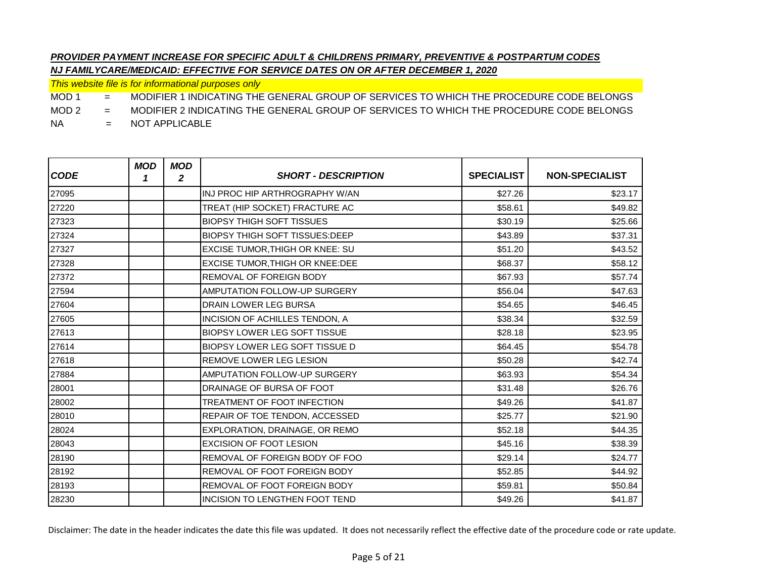*This website file is for informational purposes only*

MOD 1 = MODIFIER 1 INDICATING THE GENERAL GROUP OF SERVICES TO WHICH THE PROCEDURE CODE BELONGS

MOD 2 = MODIFIER 2 INDICATING THE GENERAL GROUP OF SERVICES TO WHICH THE PROCEDURE CODE BELONGS

NA = NOT APPLICABLE

| <b>CODE</b> | <b>MOD</b><br>1 | <b>MOD</b><br>2 | <b>SHORT - DESCRIPTION</b>             | <b>SPECIALIST</b> | <b>NON-SPECIALIST</b> |
|-------------|-----------------|-----------------|----------------------------------------|-------------------|-----------------------|
| 27095       |                 |                 | INJ PROC HIP ARTHROGRAPHY W/AN         | \$27.26           | \$23.17               |
| 27220       |                 |                 | TREAT (HIP SOCKET) FRACTURE AC         | \$58.61           | \$49.82               |
| 27323       |                 |                 | <b>BIOPSY THIGH SOFT TISSUES</b>       | \$30.19           | \$25.66               |
| 27324       |                 |                 | <b>BIOPSY THIGH SOFT TISSUES: DEEP</b> | \$43.89           | \$37.31               |
| 27327       |                 |                 | <b>EXCISE TUMOR, THIGH OR KNEE: SU</b> | \$51.20           | \$43.52               |
| 27328       |                 |                 | EXCISE TUMOR, THIGH OR KNEE: DEE       | \$68.37           | \$58.12               |
| 27372       |                 |                 | REMOVAL OF FOREIGN BODY                | \$67.93           | \$57.74               |
| 27594       |                 |                 | <b>AMPUTATION FOLLOW-UP SURGERY</b>    | \$56.04           | \$47.63               |
| 27604       |                 |                 | DRAIN LOWER LEG BURSA                  | \$54.65           | \$46.45               |
| 27605       |                 |                 | INCISION OF ACHILLES TENDON, A         | \$38.34           | \$32.59               |
| 27613       |                 |                 | <b>BIOPSY LOWER LEG SOFT TISSUE</b>    | \$28.18           | \$23.95               |
| 27614       |                 |                 | <b>BIOPSY LOWER LEG SOFT TISSUE D</b>  | \$64.45           | \$54.78               |
| 27618       |                 |                 | REMOVE LOWER LEG LESION                | \$50.28           | \$42.74               |
| 27884       |                 |                 | AMPUTATION FOLLOW-UP SURGERY           | \$63.93           | \$54.34               |
| 28001       |                 |                 | DRAINAGE OF BURSA OF FOOT              | \$31.48           | \$26.76               |
| 28002       |                 |                 | <b>TREATMENT OF FOOT INFECTION</b>     | \$49.26           | \$41.87               |
| 28010       |                 |                 | REPAIR OF TOE TENDON, ACCESSED         | \$25.77           | \$21.90               |
| 28024       |                 |                 | EXPLORATION, DRAINAGE, OR REMO         | \$52.18           | \$44.35               |
| 28043       |                 |                 | <b>EXCISION OF FOOT LESION</b>         | \$45.16           | \$38.39               |
| 28190       |                 |                 | REMOVAL OF FOREIGN BODY OF FOO         | \$29.14           | \$24.77               |
| 28192       |                 |                 | REMOVAL OF FOOT FOREIGN BODY           | \$52.85           | \$44.92               |
| 28193       |                 |                 | REMOVAL OF FOOT FOREIGN BODY           | \$59.81           | \$50.84               |
| 28230       |                 |                 | INCISION TO LENGTHEN FOOT TEND         | \$49.26           | \$41.87               |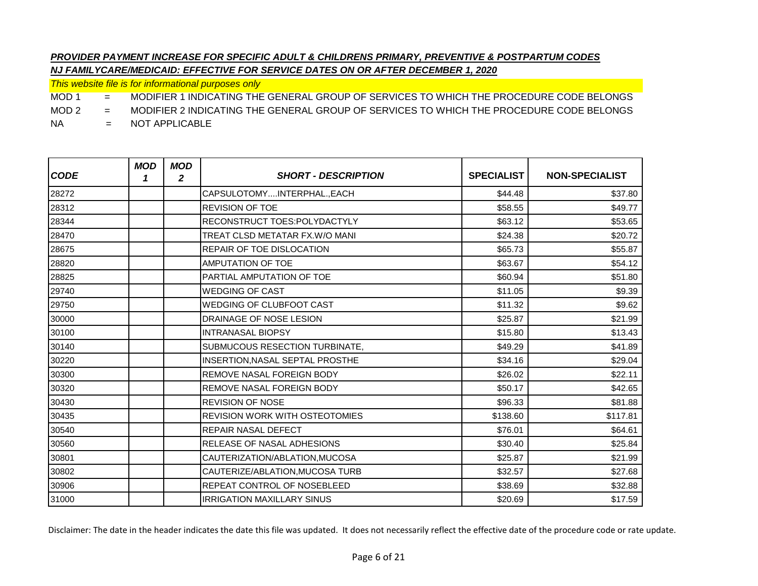*This website file is for informational purposes only*

MOD 1 = MODIFIER 1 INDICATING THE GENERAL GROUP OF SERVICES TO WHICH THE PROCEDURE CODE BELONGS

MOD 2 = MODIFIER 2 INDICATING THE GENERAL GROUP OF SERVICES TO WHICH THE PROCEDURE CODE BELONGS

NA = NOT APPLICABLE

| <b>CODE</b> | <b>MOD</b><br>1 | <b>MOD</b><br>2 | <b>SHORT - DESCRIPTION</b>            | <b>SPECIALIST</b> | <b>NON-SPECIALIST</b> |
|-------------|-----------------|-----------------|---------------------------------------|-------------------|-----------------------|
| 28272       |                 |                 | CAPSULOTOMYINTERPHAL., EACH           | \$44.48           | \$37.80               |
| 28312       |                 |                 | <b>REVISION OF TOE</b>                | \$58.55           | \$49.77               |
| 28344       |                 |                 | RECONSTRUCT TOES:POLYDACTYLY          | \$63.12           | \$53.65               |
| 28470       |                 |                 | TREAT CLSD METATAR FX.W/O MANI        | \$24.38           | \$20.72               |
| 28675       |                 |                 | REPAIR OF TOE DISLOCATION             | \$65.73           | \$55.87               |
| 28820       |                 |                 | <b>AMPUTATION OF TOE</b>              | \$63.67           | \$54.12               |
| 28825       |                 |                 | PARTIAL AMPUTATION OF TOE             | \$60.94           | \$51.80               |
| 29740       |                 |                 | <b>WEDGING OF CAST</b>                | \$11.05           | \$9.39                |
| 29750       |                 |                 | <b>WEDGING OF CLUBFOOT CAST</b>       | \$11.32           | \$9.62                |
| 30000       |                 |                 | DRAINAGE OF NOSE LESION               | \$25.87           | \$21.99               |
| 30100       |                 |                 | <b>INTRANASAL BIOPSY</b>              | \$15.80           | \$13.43               |
| 30140       |                 |                 | SUBMUCOUS RESECTION TURBINATE,        | \$49.29           | \$41.89               |
| 30220       |                 |                 | INSERTION, NASAL SEPTAL PROSTHE       | \$34.16           | \$29.04               |
| 30300       |                 |                 | REMOVE NASAL FOREIGN BODY             | \$26.02           | \$22.11               |
| 30320       |                 |                 | REMOVE NASAL FOREIGN BODY             | \$50.17           | \$42.65               |
| 30430       |                 |                 | <b>REVISION OF NOSE</b>               | \$96.33           | \$81.88               |
| 30435       |                 |                 | <b>REVISION WORK WITH OSTEOTOMIES</b> | \$138.60          | \$117.81              |
| 30540       |                 |                 | <b>REPAIR NASAL DEFECT</b>            | \$76.01           | \$64.61               |
| 30560       |                 |                 | <b>RELEASE OF NASAL ADHESIONS</b>     | \$30.40           | \$25.84               |
| 30801       |                 |                 | CAUTERIZATION/ABLATION, MUCOSA        | \$25.87           | \$21.99               |
| 30802       |                 |                 | CAUTERIZE/ABLATION, MUCOSA TURB       | \$32.57           | \$27.68               |
| 30906       |                 |                 | REPEAT CONTROL OF NOSEBLEED           | \$38.69           | \$32.88               |
| 31000       |                 |                 | <b>IRRIGATION MAXILLARY SINUS</b>     | \$20.69           | \$17.59               |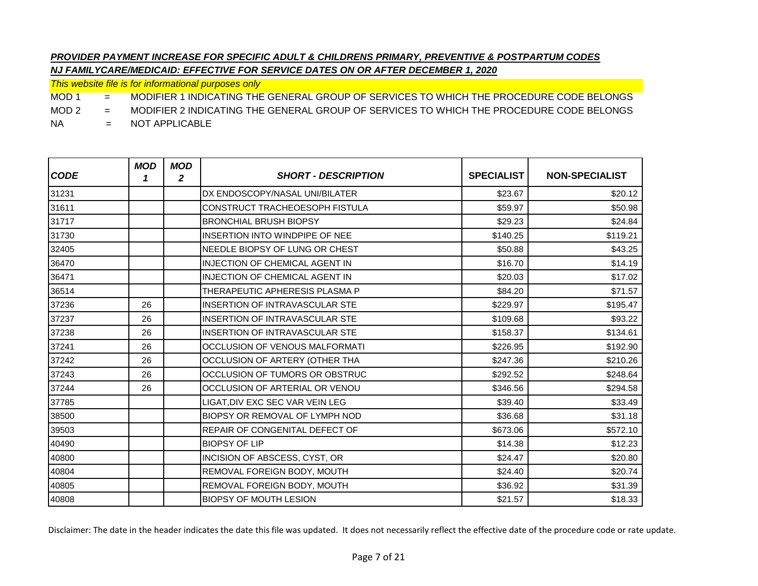*This website file is for informational purposes only*

MOD 1 = MODIFIER 1 INDICATING THE GENERAL GROUP OF SERVICES TO WHICH THE PROCEDURE CODE BELONGS

MOD 2 = MODIFIER 2 INDICATING THE GENERAL GROUP OF SERVICES TO WHICH THE PROCEDURE CODE BELONGS

NA = NOT APPLICABLE

| <b>CODE</b> | <b>MOD</b><br>1 | <b>MOD</b><br>2 | <b>SHORT - DESCRIPTION</b>            | <b>SPECIALIST</b> | <b>NON-SPECIALIST</b> |
|-------------|-----------------|-----------------|---------------------------------------|-------------------|-----------------------|
| 31231       |                 |                 | DX ENDOSCOPY/NASAL UNI/BILATER        | \$23.67           | \$20.12               |
| 31611       |                 |                 | <b>CONSTRUCT TRACHEOESOPH FISTULA</b> | \$59.97           | \$50.98               |
| 31717       |                 |                 | <b>BRONCHIAL BRUSH BIOPSY</b>         | \$29.23           | \$24.84               |
| 31730       |                 |                 | INSERTION INTO WINDPIPE OF NEE        | \$140.25          | \$119.21              |
| 32405       |                 |                 | NEEDLE BIOPSY OF LUNG OR CHEST        | \$50.88           | \$43.25               |
| 36470       |                 |                 | <b>INJECTION OF CHEMICAL AGENT IN</b> | \$16.70           | \$14.19               |
| 36471       |                 |                 | <b>INJECTION OF CHEMICAL AGENT IN</b> | \$20.03           | \$17.02               |
| 36514       |                 |                 | THERAPEUTIC APHERESIS PLASMA P        | \$84.20           | \$71.57               |
| 37236       | 26              |                 | <b>INSERTION OF INTRAVASCULAR STE</b> | \$229.97          | \$195.47              |
| 37237       | 26              |                 | <b>INSERTION OF INTRAVASCULAR STE</b> | \$109.68          | \$93.22               |
| 37238       | 26              |                 | <b>INSERTION OF INTRAVASCULAR STE</b> | \$158.37          | \$134.61              |
| 37241       | 26              |                 | OCCLUSION OF VENOUS MALFORMATI        | \$226.95          | \$192.90              |
| 37242       | 26              |                 | OCCLUSION OF ARTERY (OTHER THA        | \$247.36          | \$210.26              |
| 37243       | 26              |                 | OCCLUSION OF TUMORS OR OBSTRUC        | \$292.52          | \$248.64              |
| 37244       | 26              |                 | OCCLUSION OF ARTERIAL OR VENOU        | \$346.56          | \$294.58              |
| 37785       |                 |                 | LIGAT,DIV EXC SEC VAR VEIN LEG        | \$39.40           | \$33.49               |
| 38500       |                 |                 | BIOPSY OR REMOVAL OF LYMPH NOD        | \$36.68           | \$31.18               |
| 39503       |                 |                 | REPAIR OF CONGENITAL DEFECT OF        | \$673.06          | \$572.10              |
| 40490       |                 |                 | <b>BIOPSY OF LIP</b>                  | \$14.38           | \$12.23               |
| 40800       |                 |                 | INCISION OF ABSCESS, CYST, OR         | \$24.47           | \$20.80               |
| 40804       |                 |                 | REMOVAL FOREIGN BODY, MOUTH           | \$24.40           | \$20.74               |
| 40805       |                 |                 | REMOVAL FOREIGN BODY, MOUTH           | \$36.92           | \$31.39               |
| 40808       |                 |                 | <b>BIOPSY OF MOUTH LESION</b>         | \$21.57           | \$18.33               |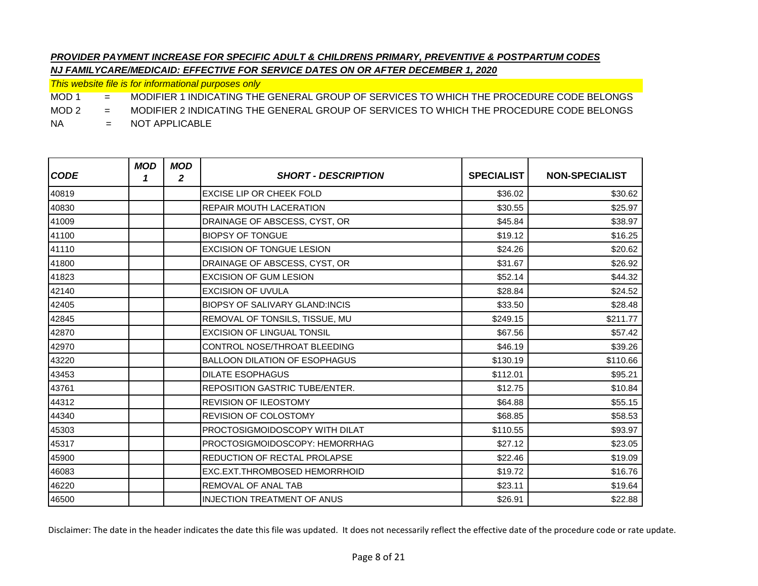*This website file is for informational purposes only*

MOD 1 = MODIFIER 1 INDICATING THE GENERAL GROUP OF SERVICES TO WHICH THE PROCEDURE CODE BELONGS

MOD 2 = MODIFIER 2 INDICATING THE GENERAL GROUP OF SERVICES TO WHICH THE PROCEDURE CODE BELONGS

NA = NOT APPLICABLE

| <b>CODE</b> | <b>MOD</b><br>1 | <b>MOD</b><br>2 | <b>SHORT - DESCRIPTION</b>            | <b>SPECIALIST</b> | <b>NON-SPECIALIST</b> |
|-------------|-----------------|-----------------|---------------------------------------|-------------------|-----------------------|
| 40819       |                 |                 | <b>EXCISE LIP OR CHEEK FOLD</b>       | \$36.02           | \$30.62               |
| 40830       |                 |                 | <b>REPAIR MOUTH LACERATION</b>        | \$30.55           | \$25.97               |
| 41009       |                 |                 | DRAINAGE OF ABSCESS, CYST, OR         | \$45.84           | \$38.97               |
| 41100       |                 |                 | <b>BIOPSY OF TONGUE</b>               | \$19.12           | \$16.25               |
| 41110       |                 |                 | <b>EXCISION OF TONGUE LESION</b>      | \$24.26           | \$20.62               |
| 41800       |                 |                 | DRAINAGE OF ABSCESS, CYST, OR         | \$31.67           | \$26.92               |
| 41823       |                 |                 | <b>EXCISION OF GUM LESION</b>         | \$52.14           | \$44.32               |
| 42140       |                 |                 | <b>EXCISION OF UVULA</b>              | \$28.84           | \$24.52               |
| 42405       |                 |                 | <b>BIOPSY OF SALIVARY GLAND:INCIS</b> | \$33.50           | \$28.48               |
| 42845       |                 |                 | REMOVAL OF TONSILS, TISSUE, MU        | \$249.15          | \$211.77              |
| 42870       |                 |                 | <b>EXCISION OF LINGUAL TONSIL</b>     | \$67.56           | \$57.42               |
| 42970       |                 |                 | CONTROL NOSE/THROAT BLEEDING          | \$46.19           | \$39.26               |
| 43220       |                 |                 | <b>BALLOON DILATION OF ESOPHAGUS</b>  | \$130.19          | \$110.66              |
| 43453       |                 |                 | <b>DILATE ESOPHAGUS</b>               | \$112.01          | \$95.21               |
| 43761       |                 |                 | <b>REPOSITION GASTRIC TUBE/ENTER.</b> | \$12.75           | \$10.84               |
| 44312       |                 |                 | <b>REVISION OF ILEOSTOMY</b>          | \$64.88           | \$55.15               |
| 44340       |                 |                 | <b>REVISION OF COLOSTOMY</b>          | \$68.85           | \$58.53               |
| 45303       |                 |                 | <b>PROCTOSIGMOIDOSCOPY WITH DILAT</b> | \$110.55          | \$93.97               |
| 45317       |                 |                 | PROCTOSIGMOIDOSCOPY: HEMORRHAG        | \$27.12           | \$23.05               |
| 45900       |                 |                 | REDUCTION OF RECTAL PROLAPSE          | \$22.46           | \$19.09               |
| 46083       |                 |                 | <b>EXC.EXT.THROMBOSED HEMORRHOID</b>  | \$19.72           | \$16.76               |
| 46220       |                 |                 | <b>REMOVAL OF ANAL TAB</b>            | \$23.11           | \$19.64               |
| 46500       |                 |                 | <b>INJECTION TREATMENT OF ANUS</b>    | \$26.91           | \$22.88               |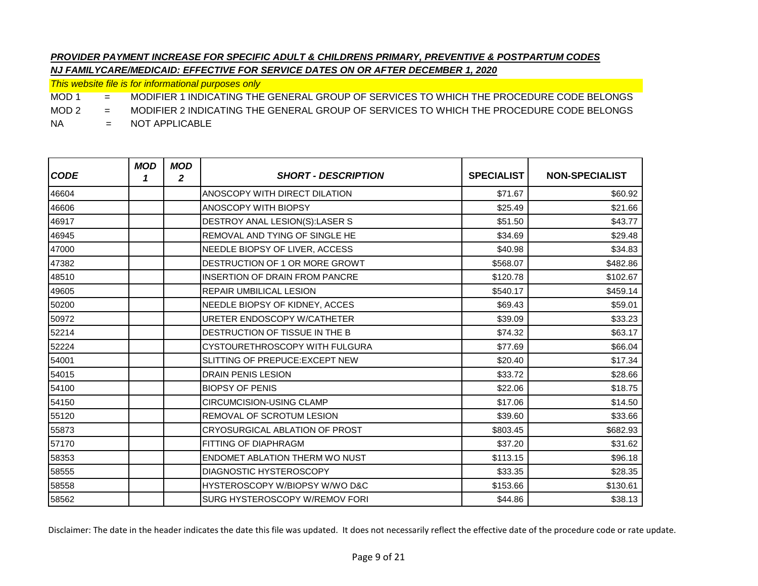*This website file is for informational purposes only*

MOD 1 = MODIFIER 1 INDICATING THE GENERAL GROUP OF SERVICES TO WHICH THE PROCEDURE CODE BELONGS

MOD 2 = MODIFIER 2 INDICATING THE GENERAL GROUP OF SERVICES TO WHICH THE PROCEDURE CODE BELONGS

NA = NOT APPLICABLE

| <b>CODE</b> | <b>MOD</b><br>1 | <b>MOD</b><br>$\mathbf{2}$ | <b>SHORT - DESCRIPTION</b>            | <b>SPECIALIST</b> | <b>NON-SPECIALIST</b> |
|-------------|-----------------|----------------------------|---------------------------------------|-------------------|-----------------------|
| 46604       |                 |                            | ANOSCOPY WITH DIRECT DILATION         | \$71.67           | \$60.92               |
| 46606       |                 |                            | <b>ANOSCOPY WITH BIOPSY</b>           | \$25.49           | \$21.66               |
| 46917       |                 |                            | DESTROY ANAL LESION(S):LASER S        | \$51.50           | \$43.77               |
| 46945       |                 |                            | <b>REMOVAL AND TYING OF SINGLE HE</b> | \$34.69           | \$29.48               |
| 47000       |                 |                            | NEEDLE BIOPSY OF LIVER, ACCESS        | \$40.98           | \$34.83               |
| 47382       |                 |                            | DESTRUCTION OF 1 OR MORE GROWT        | \$568.07          | \$482.86              |
| 48510       |                 |                            | <b>INSERTION OF DRAIN FROM PANCRE</b> | \$120.78          | \$102.67              |
| 49605       |                 |                            | <b>REPAIR UMBILICAL LESION</b>        | \$540.17          | \$459.14              |
| 50200       |                 |                            | NEEDLE BIOPSY OF KIDNEY, ACCES        | \$69.43           | \$59.01               |
| 50972       |                 |                            | URETER ENDOSCOPY W/CATHETER           | \$39.09           | \$33.23               |
| 52214       |                 |                            | DESTRUCTION OF TISSUE IN THE B        | \$74.32           | \$63.17               |
| 52224       |                 |                            | CYSTOURETHROSCOPY WITH FULGURA        | \$77.69           | \$66.04               |
| 54001       |                 |                            | SLITTING OF PREPUCE: EXCEPT NEW       | \$20.40           | \$17.34               |
| 54015       |                 |                            | <b>DRAIN PENIS LESION</b>             | \$33.72           | \$28.66               |
| 54100       |                 |                            | <b>BIOPSY OF PENIS</b>                | \$22.06           | \$18.75               |
| 54150       |                 |                            | <b>CIRCUMCISION-USING CLAMP</b>       | \$17.06           | \$14.50               |
| 55120       |                 |                            | REMOVAL OF SCROTUM LESION             | \$39.60           | \$33.66               |
| 55873       |                 |                            | CRYOSURGICAL ABLATION OF PROST        | \$803.45          | \$682.93              |
| 57170       |                 |                            | FITTING OF DIAPHRAGM                  | \$37.20           | \$31.62               |
| 58353       |                 |                            | <b>ENDOMET ABLATION THERM WO NUST</b> | \$113.15          | \$96.18               |
| 58555       |                 |                            | <b>DIAGNOSTIC HYSTEROSCOPY</b>        | \$33.35           | \$28.35               |
| 58558       |                 |                            | HYSTEROSCOPY W/BIOPSY W/WO D&C        | \$153.66          | \$130.61              |
| 58562       |                 |                            | SURG HYSTEROSCOPY W/REMOV FORI        | \$44.86           | \$38.13               |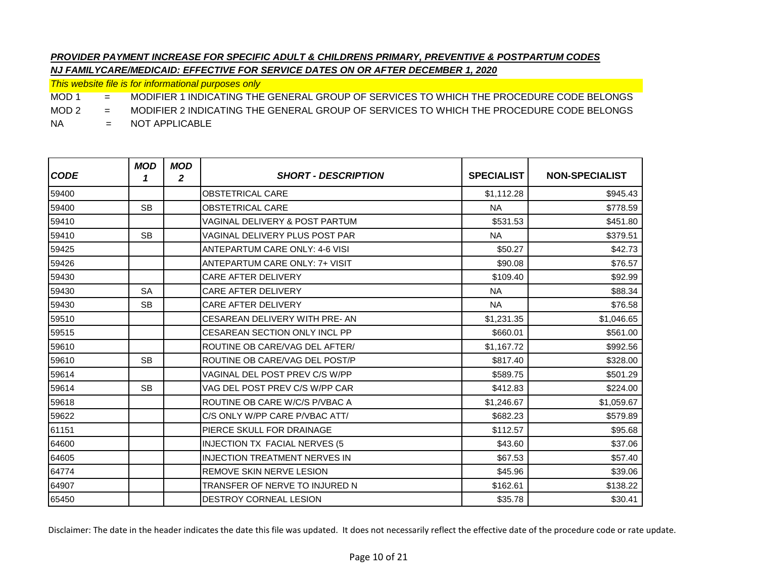*This website file is for informational purposes only*

MOD 1 = MODIFIER 1 INDICATING THE GENERAL GROUP OF SERVICES TO WHICH THE PROCEDURE CODE BELONGS

MOD 2 = MODIFIER 2 INDICATING THE GENERAL GROUP OF SERVICES TO WHICH THE PROCEDURE CODE BELONGS

NA = NOT APPLICABLE

| <b>CODE</b> | <b>MOD</b><br>1 | <b>MOD</b><br>$\mathbf{2}$ | <b>SHORT - DESCRIPTION</b>            | <b>SPECIALIST</b> | <b>NON-SPECIALIST</b> |
|-------------|-----------------|----------------------------|---------------------------------------|-------------------|-----------------------|
| 59400       |                 |                            | <b>OBSTETRICAL CARE</b>               | \$1,112.28        | \$945.43              |
| 59400       | <b>SB</b>       |                            | <b>OBSTETRICAL CARE</b>               | <b>NA</b>         | \$778.59              |
| 59410       |                 |                            | VAGINAL DELIVERY & POST PARTUM        | \$531.53          | \$451.80              |
| 59410       | <b>SB</b>       |                            | VAGINAL DELIVERY PLUS POST PAR        | <b>NA</b>         | \$379.51              |
| 59425       |                 |                            | <b>ANTEPARTUM CARE ONLY: 4-6 VISI</b> | \$50.27           | \$42.73               |
| 59426       |                 |                            | <b>ANTEPARTUM CARE ONLY: 7+ VISIT</b> | \$90.08           | \$76.57               |
| 59430       |                 |                            | <b>CARE AFTER DELIVERY</b>            | \$109.40          | \$92.99               |
| 59430       | <b>SA</b>       |                            | <b>CARE AFTER DELIVERY</b>            | <b>NA</b>         | \$88.34               |
| 59430       | <b>SB</b>       |                            | <b>CARE AFTER DELIVERY</b>            | <b>NA</b>         | \$76.58               |
| 59510       |                 |                            | CESAREAN DELIVERY WITH PRE-AN         | \$1,231.35        | \$1,046.65            |
| 59515       |                 |                            | CESAREAN SECTION ONLY INCL PP         | \$660.01          | \$561.00              |
| 59610       |                 |                            | ROUTINE OB CARE/VAG DEL AFTER/        | \$1,167.72        | \$992.56              |
| 59610       | <b>SB</b>       |                            | ROUTINE OB CARE/VAG DEL POST/P        | \$817.40          | \$328.00              |
| 59614       |                 |                            | VAGINAL DEL POST PREV C/S W/PP        | \$589.75          | \$501.29              |
| 59614       | <b>SB</b>       |                            | VAG DEL POST PREV C/S W/PP CAR        | \$412.83          | \$224.00              |
| 59618       |                 |                            | ROUTINE OB CARE W/C/S P/VBAC A        | \$1,246.67        | \$1,059.67            |
| 59622       |                 |                            | C/S ONLY W/PP CARE P/VBAC ATT/        | \$682.23          | \$579.89              |
| 61151       |                 |                            | <b>PIERCE SKULL FOR DRAINAGE</b>      | \$112.57          | \$95.68               |
| 64600       |                 |                            | INJECTION TX FACIAL NERVES (5         | \$43.60           | \$37.06               |
| 64605       |                 |                            | <b>INJECTION TREATMENT NERVES IN</b>  | \$67.53           | \$57.40               |
| 64774       |                 |                            | <b>REMOVE SKIN NERVE LESION</b>       | \$45.96           | \$39.06               |
| 64907       |                 |                            | TRANSFER OF NERVE TO INJURED N        | \$162.61          | \$138.22              |
| 65450       |                 |                            | <b>DESTROY CORNEAL LESION</b>         | \$35.78           | \$30.41               |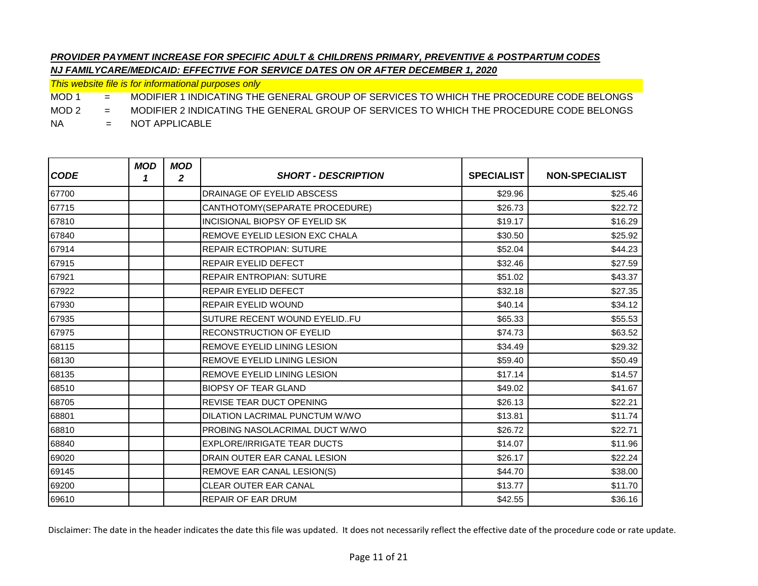*This website file is for informational purposes only*

MOD 1 = MODIFIER 1 INDICATING THE GENERAL GROUP OF SERVICES TO WHICH THE PROCEDURE CODE BELONGS

MOD 2 = MODIFIER 2 INDICATING THE GENERAL GROUP OF SERVICES TO WHICH THE PROCEDURE CODE BELONGS

NA = NOT APPLICABLE

| <b>CODE</b> | <b>MOD</b><br>1 | <b>MOD</b><br>2 | <b>SHORT - DESCRIPTION</b>         | <b>SPECIALIST</b> | <b>NON-SPECIALIST</b> |
|-------------|-----------------|-----------------|------------------------------------|-------------------|-----------------------|
| 67700       |                 |                 | DRAINAGE OF EYELID ABSCESS         | \$29.96           | \$25.46               |
| 67715       |                 |                 | CANTHOTOMY(SEPARATE PROCEDURE)     | \$26.73           | \$22.72               |
| 67810       |                 |                 | INCISIONAL BIOPSY OF EYELID SK     | \$19.17           | \$16.29               |
| 67840       |                 |                 | REMOVE EYELID LESION EXC CHALA     | \$30.50           | \$25.92               |
| 67914       |                 |                 | <b>REPAIR ECTROPIAN: SUTURE</b>    | \$52.04           | \$44.23               |
| 67915       |                 |                 | <b>REPAIR EYELID DEFECT</b>        | \$32.46           | \$27.59               |
| 67921       |                 |                 | <b>REPAIR ENTROPIAN: SUTURE</b>    | \$51.02           | \$43.37               |
| 67922       |                 |                 | REPAIR EYELID DEFECT               | \$32.18           | \$27.35               |
| 67930       |                 |                 | REPAIR EYELID WOUND                | \$40.14           | \$34.12               |
| 67935       |                 |                 | SUTURE RECENT WOUND EYELIDFU       | \$65.33           | \$55.53               |
| 67975       |                 |                 | <b>RECONSTRUCTION OF EYELID</b>    | \$74.73           | \$63.52               |
| 68115       |                 |                 | REMOVE EYELID LINING LESION        | \$34.49           | \$29.32               |
| 68130       |                 |                 | REMOVE EYELID LINING LESION        | \$59.40           | \$50.49               |
| 68135       |                 |                 | REMOVE EYELID LINING LESION        | \$17.14           | \$14.57               |
| 68510       |                 |                 | <b>BIOPSY OF TEAR GLAND</b>        | \$49.02           | \$41.67               |
| 68705       |                 |                 | <b>REVISE TEAR DUCT OPENING</b>    | \$26.13           | \$22.21               |
| 68801       |                 |                 | DILATION LACRIMAL PUNCTUM W/WO     | \$13.81           | \$11.74               |
| 68810       |                 |                 | PROBING NASOLACRIMAL DUCT W/WO     | \$26.72           | \$22.71               |
| 68840       |                 |                 | <b>EXPLORE/IRRIGATE TEAR DUCTS</b> | \$14.07           | \$11.96               |
| 69020       |                 |                 | DRAIN OUTER EAR CANAL LESION       | \$26.17           | \$22.24               |
| 69145       |                 |                 | REMOVE EAR CANAL LESION(S)         | \$44.70           | \$38.00               |
| 69200       |                 |                 | <b>CLEAR OUTER EAR CANAL</b>       | \$13.77           | \$11.70               |
| 69610       |                 |                 | <b>REPAIR OF EAR DRUM</b>          | \$42.55           | \$36.16               |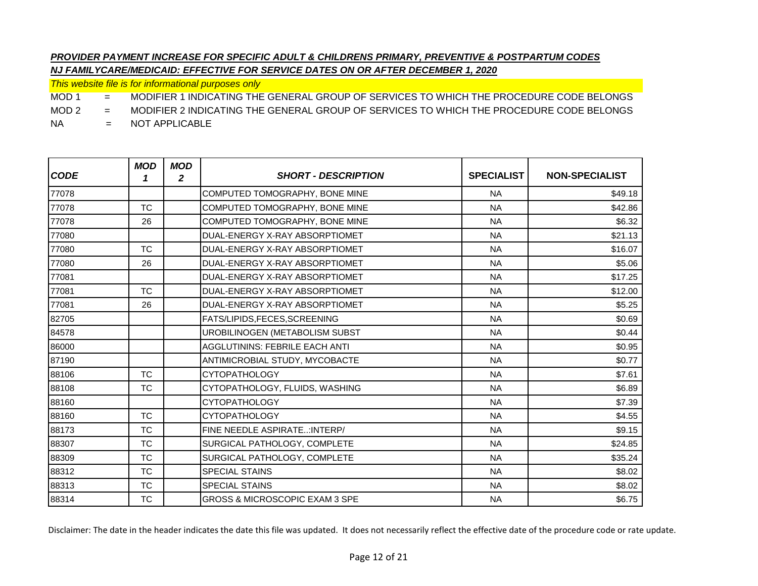*This website file is for informational purposes only*

MOD 1 = MODIFIER 1 INDICATING THE GENERAL GROUP OF SERVICES TO WHICH THE PROCEDURE CODE BELONGS

MOD 2 = MODIFIER 2 INDICATING THE GENERAL GROUP OF SERVICES TO WHICH THE PROCEDURE CODE BELONGS

NA = NOT APPLICABLE

| <b>CODE</b> | <b>MOD</b><br>1 | <b>MOD</b><br>$\mathbf{2}$ | <b>SHORT - DESCRIPTION</b>                | <b>SPECIALIST</b> | <b>NON-SPECIALIST</b> |
|-------------|-----------------|----------------------------|-------------------------------------------|-------------------|-----------------------|
| 77078       |                 |                            | COMPUTED TOMOGRAPHY, BONE MINE            | <b>NA</b>         | \$49.18               |
| 77078       | <b>TC</b>       |                            | COMPUTED TOMOGRAPHY, BONE MINE            | <b>NA</b>         | \$42.86               |
| 77078       | 26              |                            | COMPUTED TOMOGRAPHY, BONE MINE            | <b>NA</b>         | \$6.32                |
| 77080       |                 |                            | DUAL-ENERGY X-RAY ABSORPTIOMET            | <b>NA</b>         | \$21.13               |
| 77080       | TC.             |                            | DUAL-ENERGY X-RAY ABSORPTIOMET            | <b>NA</b>         | \$16.07               |
| 77080       | 26              |                            | DUAL-ENERGY X-RAY ABSORPTIOMET            | <b>NA</b>         | \$5.06                |
| 77081       |                 |                            | DUAL-ENERGY X-RAY ABSORPTIOMET            | <b>NA</b>         | \$17.25               |
| 77081       | <b>TC</b>       |                            | DUAL-ENERGY X-RAY ABSORPTIOMET            | <b>NA</b>         | \$12.00               |
| 77081       | 26              |                            | DUAL-ENERGY X-RAY ABSORPTIOMET            | <b>NA</b>         | \$5.25                |
| 82705       |                 |                            | FATS/LIPIDS, FECES, SCREENING             | <b>NA</b>         | \$0.69                |
| 84578       |                 |                            | UROBILINOGEN (METABOLISM SUBST            | <b>NA</b>         | \$0.44                |
| 86000       |                 |                            | <b>AGGLUTININS: FEBRILE EACH ANTI</b>     | <b>NA</b>         | \$0.95                |
| 87190       |                 |                            | ANTIMICROBIAL STUDY, MYCOBACTE            | <b>NA</b>         | \$0.77                |
| 88106       | <b>TC</b>       |                            | <b>CYTOPATHOLOGY</b>                      | <b>NA</b>         | \$7.61                |
| 88108       | <b>TC</b>       |                            | CYTOPATHOLOGY, FLUIDS, WASHING            | <b>NA</b>         | \$6.89                |
| 88160       |                 |                            | <b>CYTOPATHOLOGY</b>                      | <b>NA</b>         | \$7.39                |
| 88160       | <b>TC</b>       |                            | <b>CYTOPATHOLOGY</b>                      | <b>NA</b>         | \$4.55                |
| 88173       | <b>TC</b>       |                            | FINE NEEDLE ASPIRATE: INTERP/             | <b>NA</b>         | \$9.15                |
| 88307       | <b>TC</b>       |                            | SURGICAL PATHOLOGY, COMPLETE              | <b>NA</b>         | \$24.85               |
| 88309       | <b>TC</b>       |                            | SURGICAL PATHOLOGY, COMPLETE              | <b>NA</b>         | \$35.24               |
| 88312       | <b>TC</b>       |                            | <b>SPECIAL STAINS</b>                     | <b>NA</b>         | \$8.02                |
| 88313       | <b>TC</b>       |                            | <b>SPECIAL STAINS</b>                     | <b>NA</b>         | \$8.02                |
| 88314       | <b>TC</b>       |                            | <b>GROSS &amp; MICROSCOPIC EXAM 3 SPE</b> | <b>NA</b>         | \$6.75                |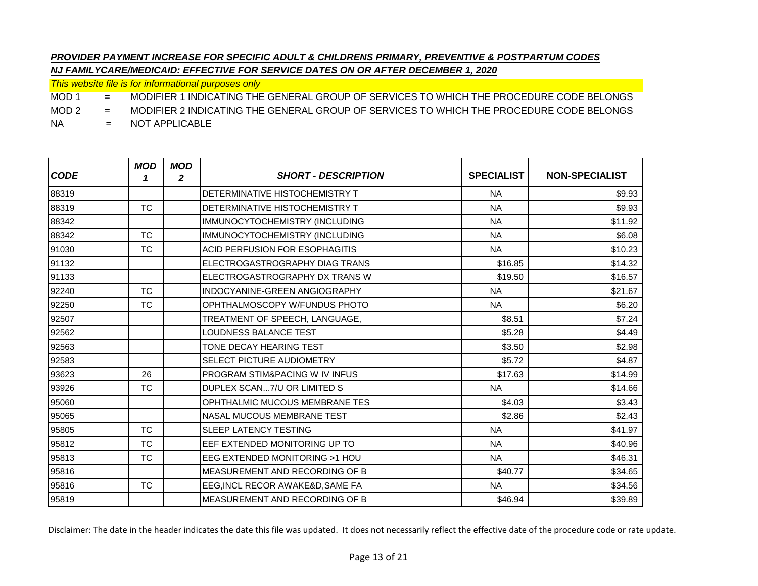*This website file is for informational purposes only*

MOD 1 = MODIFIER 1 INDICATING THE GENERAL GROUP OF SERVICES TO WHICH THE PROCEDURE CODE BELONGS

MOD 2 = MODIFIER 2 INDICATING THE GENERAL GROUP OF SERVICES TO WHICH THE PROCEDURE CODE BELONGS

NA = NOT APPLICABLE

| <b>CODE</b> | <b>MOD</b><br>1 | <b>MOD</b><br>2 | <b>SHORT - DESCRIPTION</b>                | <b>SPECIALIST</b> | <b>NON-SPECIALIST</b> |
|-------------|-----------------|-----------------|-------------------------------------------|-------------------|-----------------------|
| 88319       |                 |                 | DETERMINATIVE HISTOCHEMISTRY T            | <b>NA</b>         | \$9.93                |
| 88319       | <b>TC</b>       |                 | DETERMINATIVE HISTOCHEMISTRY T            | <b>NA</b>         | \$9.93                |
| 88342       |                 |                 | IMMUNOCYTOCHEMISTRY (INCLUDING            | <b>NA</b>         | \$11.92               |
| 88342       | <b>TC</b>       |                 | IMMUNOCYTOCHEMISTRY (INCLUDING            | <b>NA</b>         | \$6.08                |
| 91030       | <b>TC</b>       |                 | <b>ACID PERFUSION FOR ESOPHAGITIS</b>     | <b>NA</b>         | \$10.23               |
| 91132       |                 |                 | ELECTROGASTROGRAPHY DIAG TRANS            | \$16.85           | \$14.32               |
| 91133       |                 |                 | ELECTROGASTROGRAPHY DX TRANS W            | \$19.50           | \$16.57               |
| 92240       | <b>TC</b>       |                 | INDOCYANINE-GREEN ANGIOGRAPHY             | <b>NA</b>         | \$21.67               |
| 92250       | <b>TC</b>       |                 | OPHTHALMOSCOPY W/FUNDUS PHOTO             | <b>NA</b>         | \$6.20                |
| 92507       |                 |                 | TREATMENT OF SPEECH, LANGUAGE,            | \$8.51            | \$7.24                |
| 92562       |                 |                 | LOUDNESS BALANCE TEST                     | \$5.28            | \$4.49                |
| 92563       |                 |                 | TONE DECAY HEARING TEST                   | \$3.50            | \$2.98                |
| 92583       |                 |                 | SELECT PICTURE AUDIOMETRY                 | \$5.72            | \$4.87                |
| 93623       | 26              |                 | <b>PROGRAM STIM&amp;PACING W IV INFUS</b> | \$17.63           | \$14.99               |
| 93926       | <b>TC</b>       |                 | DUPLEX SCAN7/U OR LIMITED S               | <b>NA</b>         | \$14.66               |
| 95060       |                 |                 | OPHTHALMIC MUCOUS MEMBRANE TES            | \$4.03            | \$3.43                |
| 95065       |                 |                 | <b>NASAL MUCOUS MEMBRANE TEST</b>         | \$2.86            | \$2.43                |
| 95805       | <b>TC</b>       |                 | <b>SLEEP LATENCY TESTING</b>              | <b>NA</b>         | \$41.97               |
| 95812       | <b>TC</b>       |                 | EEF EXTENDED MONITORING UP TO             | <b>NA</b>         | \$40.96               |
| 95813       | <b>TC</b>       |                 | EEG EXTENDED MONITORING >1 HOU            | <b>NA</b>         | \$46.31               |
| 95816       |                 |                 | MEASUREMENT AND RECORDING OF B            | \$40.77           | \$34.65               |
| 95816       | <b>TC</b>       |                 | EEG, INCL RECOR AWAKE&D, SAME FA          | <b>NA</b>         | \$34.56               |
| 95819       |                 |                 | MEASUREMENT AND RECORDING OF B            | \$46.94           | \$39.89               |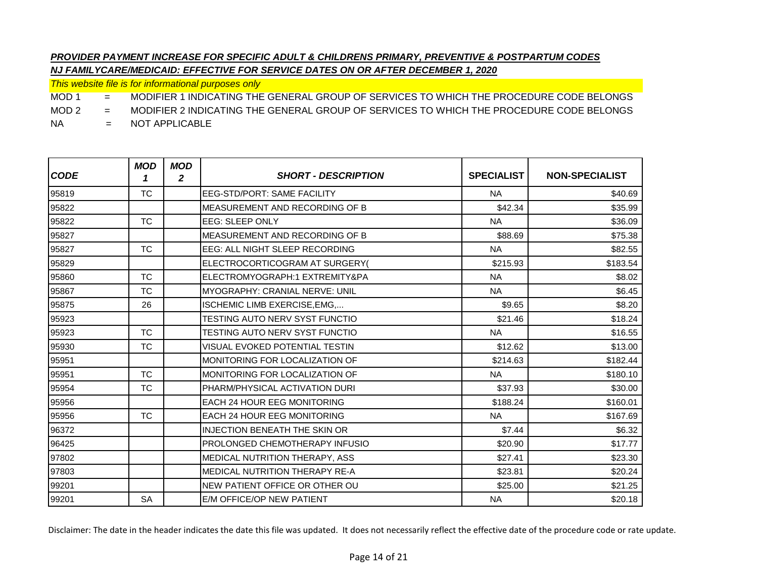*This website file is for informational purposes only*

MOD 1 = MODIFIER 1 INDICATING THE GENERAL GROUP OF SERVICES TO WHICH THE PROCEDURE CODE BELONGS

MOD 2 = MODIFIER 2 INDICATING THE GENERAL GROUP OF SERVICES TO WHICH THE PROCEDURE CODE BELONGS

NA = NOT APPLICABLE

| <b>CODE</b> | <b>MOD</b><br>1 | <b>MOD</b><br>2 | <b>SHORT - DESCRIPTION</b>             | <b>SPECIALIST</b> | <b>NON-SPECIALIST</b> |
|-------------|-----------------|-----------------|----------------------------------------|-------------------|-----------------------|
| 95819       | <b>TC</b>       |                 | <b>EEG-STD/PORT: SAME FACILITY</b>     | <b>NA</b>         | \$40.69               |
| 95822       |                 |                 | MEASUREMENT AND RECORDING OF B         | \$42.34           | \$35.99               |
| 95822       | <b>TC</b>       |                 | <b>EEG: SLEEP ONLY</b>                 | <b>NA</b>         | \$36.09               |
| 95827       |                 |                 | MEASUREMENT AND RECORDING OF B         | \$88.69           | \$75.38               |
| 95827       | <b>TC</b>       |                 | EEG: ALL NIGHT SLEEP RECORDING         | <b>NA</b>         | \$82.55               |
| 95829       |                 |                 | ELECTROCORTICOGRAM AT SURGERY(         | \$215.93          | \$183.54              |
| 95860       | <b>TC</b>       |                 | ELECTROMYOGRAPH:1 EXTREMITY&PA         | <b>NA</b>         | \$8.02                |
| 95867       | <b>TC</b>       |                 | MYOGRAPHY: CRANIAL NERVE: UNIL         | <b>NA</b>         | \$6.45                |
| 95875       | 26              |                 | ISCHEMIC LIMB EXERCISE, EMG,           | \$9.65            | \$8.20                |
| 95923       |                 |                 | <b>TESTING AUTO NERV SYST FUNCTIO</b>  | \$21.46           | \$18.24               |
| 95923       | <b>TC</b>       |                 | TESTING AUTO NERV SYST FUNCTIO         | <b>NA</b>         | \$16.55               |
| 95930       | <b>TC</b>       |                 | VISUAL EVOKED POTENTIAL TESTIN         | \$12.62           | \$13.00               |
| 95951       |                 |                 | MONITORING FOR LOCALIZATION OF         | \$214.63          | \$182.44              |
| 95951       | <b>TC</b>       |                 | MONITORING FOR LOCALIZATION OF         | <b>NA</b>         | \$180.10              |
| 95954       | <b>TC</b>       |                 | PHARM/PHYSICAL ACTIVATION DURI         | \$37.93           | \$30.00               |
| 95956       |                 |                 | <b>EACH 24 HOUR EEG MONITORING</b>     | \$188.24          | \$160.01              |
| 95956       | <b>TC</b>       |                 | <b>EACH 24 HOUR EEG MONITORING</b>     | <b>NA</b>         | \$167.69              |
| 96372       |                 |                 | <b>INJECTION BENEATH THE SKIN OR</b>   | \$7.44            | \$6.32                |
| 96425       |                 |                 | <b>PROLONGED CHEMOTHERAPY INFUSIO</b>  | \$20.90           | \$17.77               |
| 97802       |                 |                 | MEDICAL NUTRITION THERAPY, ASS         | \$27.41           | \$23.30               |
| 97803       |                 |                 | <b>IMEDICAL NUTRITION THERAPY RE-A</b> | \$23.81           | \$20.24               |
| 99201       |                 |                 | NEW PATIENT OFFICE OR OTHER OU         | \$25.00           | \$21.25               |
| 99201       | <b>SA</b>       |                 | E/M OFFICE/OP NEW PATIENT              | <b>NA</b>         | \$20.18               |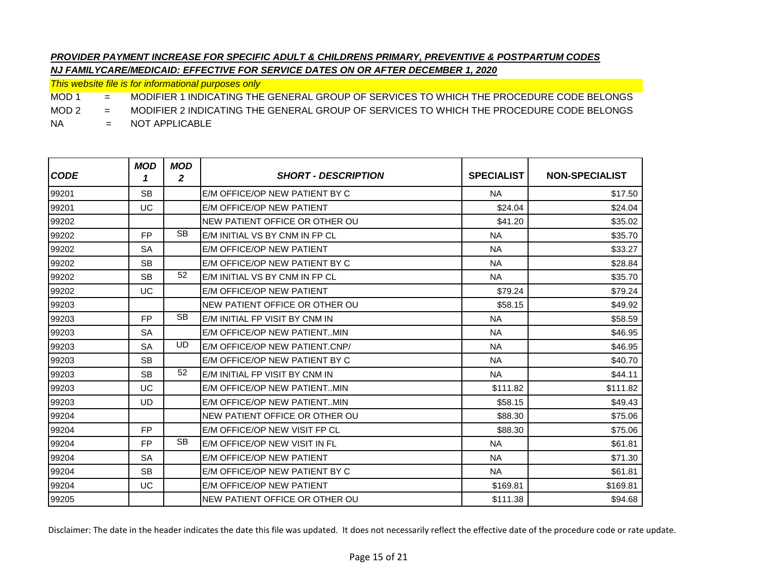*This website file is for informational purposes only*

MOD 1 = MODIFIER 1 INDICATING THE GENERAL GROUP OF SERVICES TO WHICH THE PROCEDURE CODE BELONGS

MOD 2 = MODIFIER 2 INDICATING THE GENERAL GROUP OF SERVICES TO WHICH THE PROCEDURE CODE BELONGS

NA = NOT APPLICABLE

| <b>CODE</b> | <b>MOD</b><br>1 | <b>MOD</b><br>2 | <b>SHORT - DESCRIPTION</b>     | <b>SPECIALIST</b> | <b>NON-SPECIALIST</b> |
|-------------|-----------------|-----------------|--------------------------------|-------------------|-----------------------|
| 99201       | <b>SB</b>       |                 | E/M OFFICE/OP NEW PATIENT BY C | <b>NA</b>         | \$17.50               |
| 99201       | UC              |                 | E/M OFFICE/OP NEW PATIENT      | \$24.04           | \$24.04               |
| 99202       |                 |                 | NEW PATIENT OFFICE OR OTHER OU | \$41.20           | \$35.02               |
| 99202       | <b>FP</b>       | <b>SB</b>       | E/M INITIAL VS BY CNM IN FP CL | <b>NA</b>         | \$35.70               |
| 99202       | <b>SA</b>       |                 | E/M OFFICE/OP NEW PATIENT      | <b>NA</b>         | \$33.27               |
| 99202       | <b>SB</b>       |                 | E/M OFFICE/OP NEW PATIENT BY C | <b>NA</b>         | \$28.84               |
| 99202       | <b>SB</b>       | 52              | E/M INITIAL VS BY CNM IN FP CL | <b>NA</b>         | \$35.70               |
| 99202       | <b>UC</b>       |                 | E/M OFFICE/OP NEW PATIENT      | \$79.24           | \$79.24               |
| 99203       |                 |                 | NEW PATIENT OFFICE OR OTHER OU | \$58.15           | \$49.92               |
| 99203       | <b>FP</b>       | <b>SB</b>       | E/M INITIAL FP VISIT BY CNM IN | <b>NA</b>         | \$58.59               |
| 99203       | <b>SA</b>       |                 | E/M OFFICE/OP NEW PATIENTMIN   | <b>NA</b>         | \$46.95               |
| 99203       | <b>SA</b>       | <b>UD</b>       | E/M OFFICE/OP NEW PATIENT.CNP/ | <b>NA</b>         | \$46.95               |
| 99203       | <b>SB</b>       |                 | E/M OFFICE/OP NEW PATIENT BY C | <b>NA</b>         | \$40.70               |
| 99203       | <b>SB</b>       | 52              | E/M INITIAL FP VISIT BY CNM IN | <b>NA</b>         | \$44.11               |
| 99203       | UC              |                 | E/M OFFICE/OP NEW PATIENTMIN   | \$111.82          | \$111.82              |
| 99203       | <b>UD</b>       |                 | E/M OFFICE/OP NEW PATIENTMIN   | \$58.15           | \$49.43               |
| 99204       |                 |                 | NEW PATIENT OFFICE OR OTHER OU | \$88.30           | \$75.06               |
| 99204       | <b>FP</b>       |                 | E/M OFFICE/OP NEW VISIT FP CL  | \$88.30           | \$75.06               |
| 99204       | <b>FP</b>       | <b>SB</b>       | E/M OFFICE/OP NEW VISIT IN FL  | <b>NA</b>         | \$61.81               |
| 99204       | <b>SA</b>       |                 | E/M OFFICE/OP NEW PATIENT      | <b>NA</b>         | \$71.30               |
| 99204       | <b>SB</b>       |                 | E/M OFFICE/OP NEW PATIENT BY C | <b>NA</b>         | \$61.81               |
| 99204       | UC              |                 | E/M OFFICE/OP NEW PATIENT      | \$169.81          | \$169.81              |
| 99205       |                 |                 | NEW PATIENT OFFICE OR OTHER OU | \$111.38          | \$94.68               |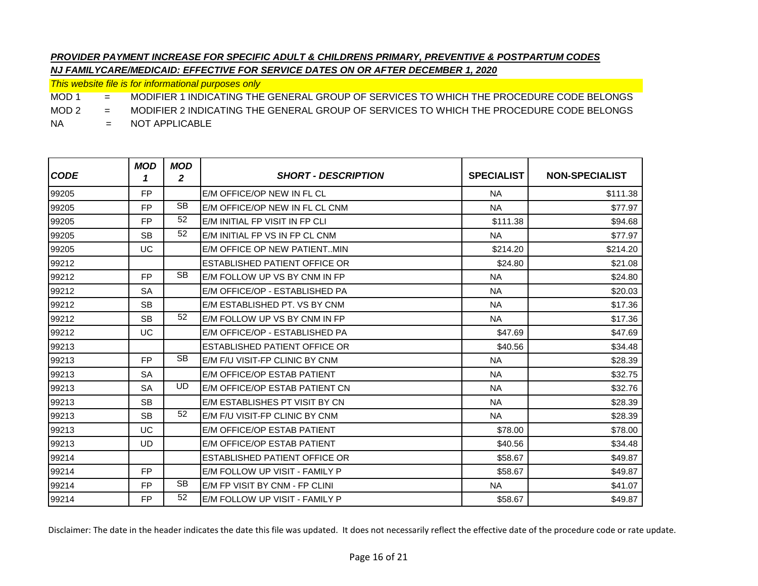*This website file is for informational purposes only*

MOD 1 = MODIFIER 1 INDICATING THE GENERAL GROUP OF SERVICES TO WHICH THE PROCEDURE CODE BELONGS

MOD 2 = MODIFIER 2 INDICATING THE GENERAL GROUP OF SERVICES TO WHICH THE PROCEDURE CODE BELONGS

NA = NOT APPLICABLE

| <b>CODE</b> | <b>MOD</b><br>1 | MOD<br>$\mathbf{2}$ | <b>SHORT - DESCRIPTION</b>     | <b>SPECIALIST</b> | <b>NON-SPECIALIST</b> |
|-------------|-----------------|---------------------|--------------------------------|-------------------|-----------------------|
| 99205       | <b>FP</b>       |                     | E/M OFFICE/OP NEW IN FL CL     | <b>NA</b>         | \$111.38              |
| 99205       | <b>FP</b>       | <b>SB</b>           | E/M OFFICE/OP NEW IN FL CL CNM | <b>NA</b>         | \$77.97               |
| 99205       | <b>FP</b>       | 52                  | E/M INITIAL FP VISIT IN FP CLI | \$111.38          | \$94.68               |
| 99205       | <b>SB</b>       | 52                  | E/M INITIAL FP VS IN FP CL CNM | <b>NA</b>         | \$77.97               |
| 99205       | UC              |                     | E/M OFFICE OP NEW PATIENTMIN   | \$214.20          | \$214.20              |
| 99212       |                 |                     | ESTABLISHED PATIENT OFFICE OR  | \$24.80           | \$21.08               |
| 99212       | <b>FP</b>       | <b>SB</b>           | E/M FOLLOW UP VS BY CNM IN FP  | <b>NA</b>         | \$24.80               |
| 99212       | <b>SA</b>       |                     | E/M OFFICE/OP - ESTABLISHED PA | <b>NA</b>         | \$20.03               |
| 99212       | <b>SB</b>       |                     | E/M ESTABLISHED PT. VS BY CNM  | <b>NA</b>         | \$17.36               |
| 99212       | <b>SB</b>       | 52                  | E/M FOLLOW UP VS BY CNM IN FP  | <b>NA</b>         | \$17.36               |
| 99212       | UC              |                     | E/M OFFICE/OP - ESTABLISHED PA | \$47.69           | \$47.69               |
| 99213       |                 |                     | ESTABLISHED PATIENT OFFICE OR  | \$40.56           | \$34.48               |
| 99213       | <b>FP</b>       | <b>SB</b>           | E/M F/U VISIT-FP CLINIC BY CNM | <b>NA</b>         | \$28.39               |
| 99213       | <b>SA</b>       |                     | E/M OFFICE/OP ESTAB PATIENT    | <b>NA</b>         | \$32.75               |
| 99213       | <b>SA</b>       | UD                  | E/M OFFICE/OP ESTAB PATIENT CN | <b>NA</b>         | \$32.76               |
| 99213       | <b>SB</b>       |                     | E/M ESTABLISHES PT VISIT BY CN | <b>NA</b>         | \$28.39               |
| 99213       | <b>SB</b>       | 52                  | E/M F/U VISIT-FP CLINIC BY CNM | <b>NA</b>         | \$28.39               |
| 99213       | UC              |                     | E/M OFFICE/OP ESTAB PATIENT    | \$78.00           | \$78.00               |
| 99213       | UD.             |                     | E/M OFFICE/OP ESTAB PATIENT    | \$40.56           | \$34.48               |
| 99214       |                 |                     | ESTABLISHED PATIENT OFFICE OR  | \$58.67           | \$49.87               |
| 99214       | FP.             |                     | E/M FOLLOW UP VISIT - FAMILY P | \$58.67           | \$49.87               |
| 99214       | <b>FP</b>       | <b>SB</b>           | E/M FP VISIT BY CNM - FP CLINI | <b>NA</b>         | \$41.07               |
| 99214       | FP.             | 52                  | E/M FOLLOW UP VISIT - FAMILY P | \$58.67           | \$49.87               |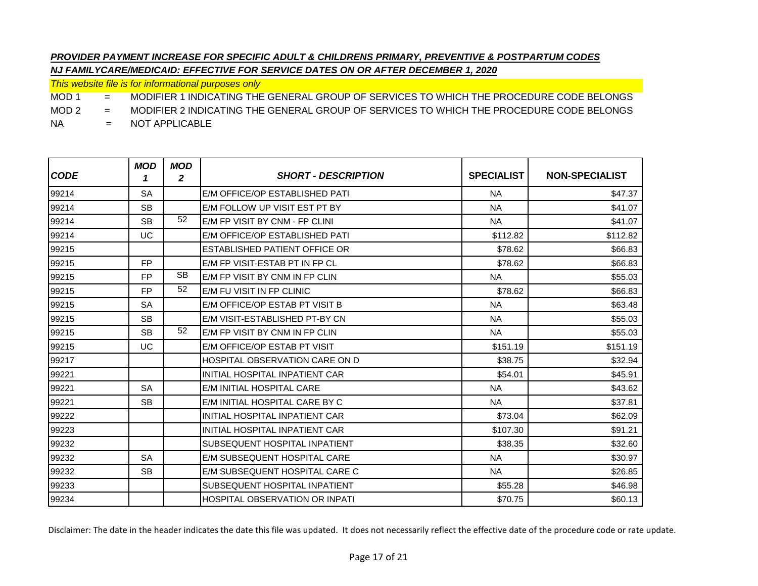*This website file is for informational purposes only*

MOD 1 = MODIFIER 1 INDICATING THE GENERAL GROUP OF SERVICES TO WHICH THE PROCEDURE CODE BELONGS

MOD 2 = MODIFIER 2 INDICATING THE GENERAL GROUP OF SERVICES TO WHICH THE PROCEDURE CODE BELONGS

NA = NOT APPLICABLE

| <b>CODE</b> | <b>MOD</b><br>1 | <b>MOD</b><br>$\overline{2}$ | <b>SHORT - DESCRIPTION</b>            | <b>SPECIALIST</b> | <b>NON-SPECIALIST</b> |
|-------------|-----------------|------------------------------|---------------------------------------|-------------------|-----------------------|
| 99214       | <b>SA</b>       |                              | E/M OFFICE/OP ESTABLISHED PATI        | <b>NA</b>         | \$47.37               |
| 99214       | <b>SB</b>       |                              | E/M FOLLOW UP VISIT EST PT BY         | <b>NA</b>         | \$41.07               |
| 99214       | <b>SB</b>       | 52                           | E/M FP VISIT BY CNM - FP CLINI        | <b>NA</b>         | \$41.07               |
| 99214       | UC              |                              | E/M OFFICE/OP ESTABLISHED PATI        | \$112.82          | \$112.82              |
| 99215       |                 |                              | <b>ESTABLISHED PATIENT OFFICE OR</b>  | \$78.62           | \$66.83               |
| 99215       | <b>FP</b>       |                              | E/M FP VISIT-ESTAB PT IN FP CL        | \$78.62           | \$66.83               |
| 99215       | <b>FP</b>       | <b>SB</b>                    | E/M FP VISIT BY CNM IN FP CLIN        | <b>NA</b>         | \$55.03               |
| 99215       | <b>FP</b>       | 52                           | E/M FU VISIT IN FP CLINIC             | \$78.62           | \$66.83               |
| 99215       | <b>SA</b>       |                              | E/M OFFICE/OP ESTAB PT VISIT B        | <b>NA</b>         | \$63.48               |
| 99215       | <b>SB</b>       |                              | E/M VISIT-ESTABLISHED PT-BY CN        | <b>NA</b>         | \$55.03               |
| 99215       | <b>SB</b>       | 52                           | E/M FP VISIT BY CNM IN FP CLIN        | <b>NA</b>         | \$55.03               |
| 99215       | UC              |                              | E/M OFFICE/OP ESTAB PT VISIT          | \$151.19          | \$151.19              |
| 99217       |                 |                              | <b>HOSPITAL OBSERVATION CARE ON D</b> | \$38.75           | \$32.94               |
| 99221       |                 |                              | INITIAL HOSPITAL INPATIENT CAR        | \$54.01           | \$45.91               |
| 99221       | <b>SA</b>       |                              | E/M INITIAL HOSPITAL CARE             | <b>NA</b>         | \$43.62               |
| 99221       | <b>SB</b>       |                              | E/M INITIAL HOSPITAL CARE BY C        | <b>NA</b>         | \$37.81               |
| 99222       |                 |                              | INITIAL HOSPITAL INPATIENT CAR        | \$73.04           | \$62.09               |
| 99223       |                 |                              | INITIAL HOSPITAL INPATIENT CAR        | \$107.30          | \$91.21               |
| 99232       |                 |                              | <b>SUBSEQUENT HOSPITAL INPATIENT</b>  | \$38.35           | \$32.60               |
| 99232       | <b>SA</b>       |                              | E/M SUBSEQUENT HOSPITAL CARE          | <b>NA</b>         | \$30.97               |
| 99232       | <b>SB</b>       |                              | E/M SUBSEQUENT HOSPITAL CARE C        | <b>NA</b>         | \$26.85               |
| 99233       |                 |                              | <b>SUBSEQUENT HOSPITAL INPATIENT</b>  | \$55.28           | \$46.98               |
| 99234       |                 |                              | HOSPITAL OBSERVATION OR INPATI        | \$70.75           | \$60.13               |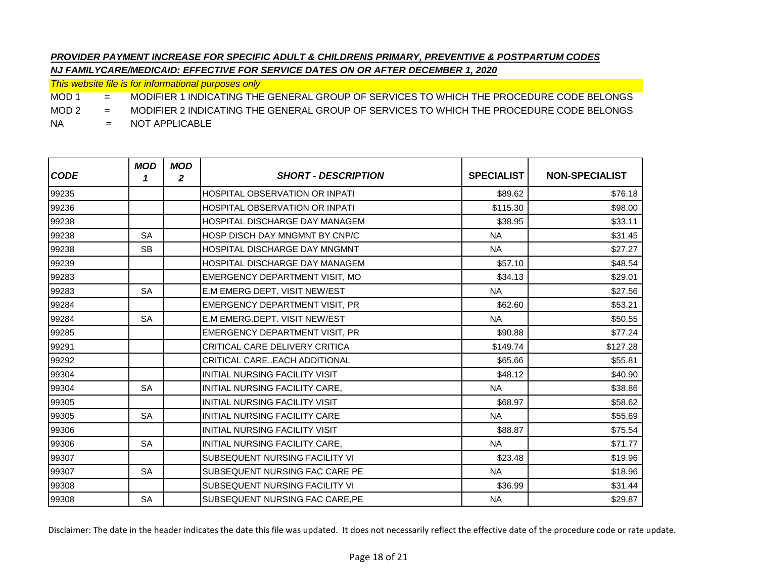*This website file is for informational purposes only*

MOD 1 = MODIFIER 1 INDICATING THE GENERAL GROUP OF SERVICES TO WHICH THE PROCEDURE CODE BELONGS

MOD 2 = MODIFIER 2 INDICATING THE GENERAL GROUP OF SERVICES TO WHICH THE PROCEDURE CODE BELONGS

NA = NOT APPLICABLE

| <b>CODE</b> | <b>MOD</b><br>1 | <b>MOD</b><br>$\mathbf{2}$ | <b>SHORT - DESCRIPTION</b>            | <b>SPECIALIST</b> | <b>NON-SPECIALIST</b> |
|-------------|-----------------|----------------------------|---------------------------------------|-------------------|-----------------------|
| 99235       |                 |                            | HOSPITAL OBSERVATION OR INPATI        | \$89.62           | \$76.18               |
| 99236       |                 |                            | <b>HOSPITAL OBSERVATION OR INPATI</b> | \$115.30          | \$98.00               |
| 99238       |                 |                            | <b>HOSPITAL DISCHARGE DAY MANAGEM</b> | \$38.95           | \$33.11               |
| 99238       | <b>SA</b>       |                            | <b>HOSP DISCH DAY MNGMNT BY CNP/C</b> | <b>NA</b>         | \$31.45               |
| 99238       | <b>SB</b>       |                            | HOSPITAL DISCHARGE DAY MNGMNT         | <b>NA</b>         | \$27.27               |
| 99239       |                 |                            | HOSPITAL DISCHARGE DAY MANAGEM        | \$57.10           | \$48.54               |
| 99283       |                 |                            | EMERGENCY DEPARTMENT VISIT, MO        | \$34.13           | \$29.01               |
| 99283       | <b>SA</b>       |                            | E.M EMERG DEPT. VISIT NEW/EST         | <b>NA</b>         | \$27.56               |
| 99284       |                 |                            | EMERGENCY DEPARTMENT VISIT, PR        | \$62.60           | \$53.21               |
| 99284       | <b>SA</b>       |                            | E.M EMERG.DEPT. VISIT NEW/EST         | <b>NA</b>         | \$50.55               |
| 99285       |                 |                            | <b>EMERGENCY DEPARTMENT VISIT, PR</b> | \$90.88           | \$77.24               |
| 99291       |                 |                            | CRITICAL CARE DELIVERY CRITICA        | \$149.74          | \$127.28              |
| 99292       |                 |                            | CRITICAL CAREEACH ADDITIONAL          | \$65.66           | \$55.81               |
| 99304       |                 |                            | <b>INITIAL NURSING FACILITY VISIT</b> | \$48.12           | \$40.90               |
| 99304       | <b>SA</b>       |                            | INITIAL NURSING FACILITY CARE,        | <b>NA</b>         | \$38.86               |
| 99305       |                 |                            | <b>INITIAL NURSING FACILITY VISIT</b> | \$68.97           | \$58.62               |
| 99305       | <b>SA</b>       |                            | INITIAL NURSING FACILITY CARE         | <b>NA</b>         | \$55.69               |
| 99306       |                 |                            | INITIAL NURSING FACILITY VISIT        | \$88.87           | \$75.54               |
| 99306       | <b>SA</b>       |                            | INITIAL NURSING FACILITY CARE,        | <b>NA</b>         | \$71.77               |
| 99307       |                 |                            | <b>SUBSEQUENT NURSING FACILITY VI</b> | \$23.48           | \$19.96               |
| 99307       | <b>SA</b>       |                            | <b>SUBSEQUENT NURSING FAC CARE PE</b> | <b>NA</b>         | \$18.96               |
| 99308       |                 |                            | SUBSEQUENT NURSING FACILITY VI        | \$36.99           | \$31.44               |
| 99308       | <b>SA</b>       |                            | SUBSEQUENT NURSING FAC CARE, PE       | <b>NA</b>         | \$29.87               |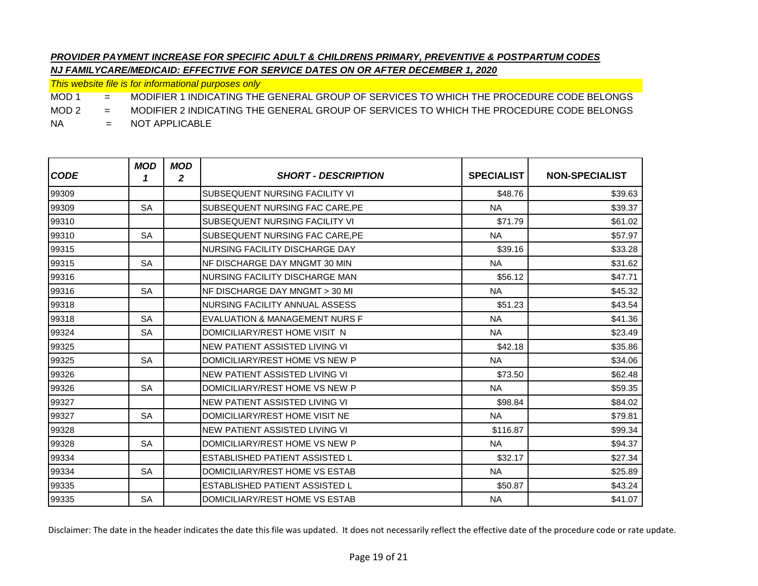*This website file is for informational purposes only*

MOD 1 = MODIFIER 1 INDICATING THE GENERAL GROUP OF SERVICES TO WHICH THE PROCEDURE CODE BELONGS

MOD 2 = MODIFIER 2 INDICATING THE GENERAL GROUP OF SERVICES TO WHICH THE PROCEDURE CODE BELONGS

NA = NOT APPLICABLE

| <b>CODE</b> | <b>MOD</b><br>1 | <b>MOD</b><br>$\mathbf{2}$ | <b>SHORT - DESCRIPTION</b>            | <b>SPECIALIST</b> | <b>NON-SPECIALIST</b> |
|-------------|-----------------|----------------------------|---------------------------------------|-------------------|-----------------------|
| 99309       |                 |                            | SUBSEQUENT NURSING FACILITY VI        | \$48.76           | \$39.63               |
| 99309       | <b>SA</b>       |                            | SUBSEQUENT NURSING FAC CARE.PE        | <b>NA</b>         | \$39.37               |
| 99310       |                 |                            | SUBSEQUENT NURSING FACILITY VI        | \$71.79           | \$61.02               |
| 99310       | <b>SA</b>       |                            | SUBSEQUENT NURSING FAC CARE, PE       | <b>NA</b>         | \$57.97               |
| 99315       |                 |                            | NURSING FACILITY DISCHARGE DAY        | \$39.16           | \$33.28               |
| 99315       | <b>SA</b>       |                            | NF DISCHARGE DAY MNGMT 30 MIN         | <b>NA</b>         | \$31.62               |
| 99316       |                 |                            | NURSING FACILITY DISCHARGE MAN        | \$56.12           | \$47.71               |
| 99316       | <b>SA</b>       |                            | NF DISCHARGE DAY MNGMT > 30 ML        | <b>NA</b>         | \$45.32               |
| 99318       |                 |                            | NURSING FACILITY ANNUAL ASSESS        | \$51.23           | \$43.54               |
| 99318       | <b>SA</b>       |                            | EVALUATION & MANAGEMENT NURS F        | <b>NA</b>         | \$41.36               |
| 99324       | <b>SA</b>       |                            | DOMICILIARY/REST HOME VISIT N         | <b>NA</b>         | \$23.49               |
| 99325       |                 |                            | NEW PATIENT ASSISTED LIVING VI        | \$42.18           | \$35.86               |
| 99325       | <b>SA</b>       |                            | DOMICILIARY/REST HOME VS NEW P        | <b>NA</b>         | \$34.06               |
| 99326       |                 |                            | NEW PATIENT ASSISTED LIVING VI        | \$73.50           | \$62.48               |
| 99326       | <b>SA</b>       |                            | DOMICILIARY/REST HOME VS NEW P        | <b>NA</b>         | \$59.35               |
| 99327       |                 |                            | NEW PATIENT ASSISTED LIVING VI        | \$98.84           | \$84.02               |
| 99327       | <b>SA</b>       |                            | DOMICILIARY/REST HOME VISIT NE        | <b>NA</b>         | \$79.81               |
| 99328       |                 |                            | NEW PATIENT ASSISTED LIVING VI        | \$116.87          | \$99.34               |
| 99328       | <b>SA</b>       |                            | DOMICILIARY/REST HOME VS NEW P        | <b>NA</b>         | \$94.37               |
| 99334       |                 |                            | <b>ESTABLISHED PATIENT ASSISTED L</b> | \$32.17           | \$27.34               |
| 99334       | <b>SA</b>       |                            | DOMICILIARY/REST HOME VS ESTAB        | <b>NA</b>         | \$25.89               |
| 99335       |                 |                            | ESTABLISHED PATIENT ASSISTED L        | \$50.87           | \$43.24               |
| 99335       | <b>SA</b>       |                            | DOMICILIARY/REST HOME VS ESTAB        | <b>NA</b>         | \$41.07               |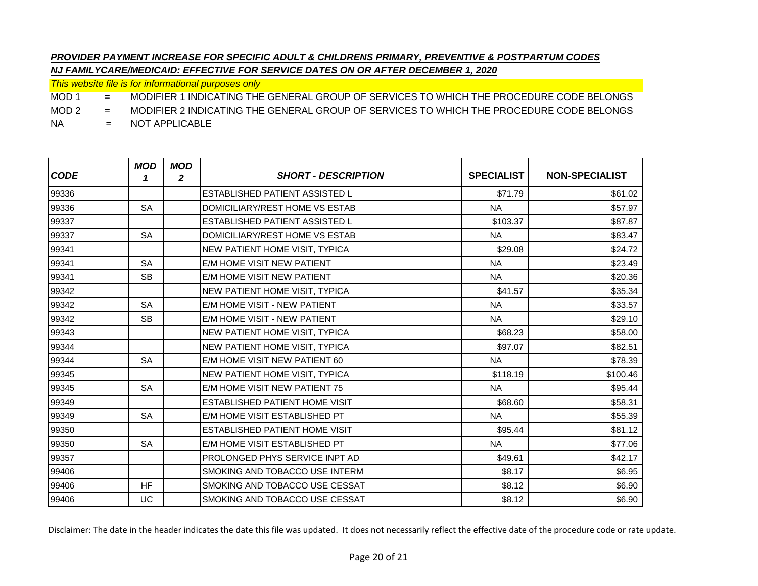*This website file is for informational purposes only*

MOD 1 = MODIFIER 1 INDICATING THE GENERAL GROUP OF SERVICES TO WHICH THE PROCEDURE CODE BELONGS

MOD 2 = MODIFIER 2 INDICATING THE GENERAL GROUP OF SERVICES TO WHICH THE PROCEDURE CODE BELONGS

NA = NOT APPLICABLE

| <b>CODE</b> | <b>MOD</b><br>1 | <b>MOD</b><br>2 | <b>SHORT - DESCRIPTION</b>            | <b>SPECIALIST</b> | <b>NON-SPECIALIST</b> |
|-------------|-----------------|-----------------|---------------------------------------|-------------------|-----------------------|
| 99336       |                 |                 | ESTABLISHED PATIENT ASSISTED L        | \$71.79           | \$61.02               |
| 99336       | <b>SA</b>       |                 | DOMICILIARY/REST HOME VS ESTAB        | <b>NA</b>         | \$57.97               |
| 99337       |                 |                 | <b>ESTABLISHED PATIENT ASSISTED L</b> | \$103.37          | \$87.87               |
| 99337       | <b>SA</b>       |                 | DOMICILIARY/REST HOME VS ESTAB        | <b>NA</b>         | \$83.47               |
| 99341       |                 |                 | NEW PATIENT HOME VISIT, TYPICA        | \$29.08           | \$24.72               |
| 99341       | <b>SA</b>       |                 | E/M HOME VISIT NEW PATIENT            | <b>NA</b>         | \$23.49               |
| 99341       | <b>SB</b>       |                 | E/M HOME VISIT NEW PATIENT            | <b>NA</b>         | \$20.36               |
| 99342       |                 |                 | NEW PATIENT HOME VISIT, TYPICA        | \$41.57           | \$35.34               |
| 99342       | <b>SA</b>       |                 | E/M HOME VISIT - NEW PATIENT          | <b>NA</b>         | \$33.57               |
| 99342       | <b>SB</b>       |                 | E/M HOME VISIT - NEW PATIENT          | <b>NA</b>         | \$29.10               |
| 99343       |                 |                 | NEW PATIENT HOME VISIT, TYPICA        | \$68.23           | \$58.00               |
| 99344       |                 |                 | NEW PATIENT HOME VISIT, TYPICA        | \$97.07           | \$82.51               |
| 99344       | <b>SA</b>       |                 | E/M HOME VISIT NEW PATIENT 60         | <b>NA</b>         | \$78.39               |
| 99345       |                 |                 | NEW PATIENT HOME VISIT, TYPICA        | \$118.19          | \$100.46              |
| 99345       | <b>SA</b>       |                 | E/M HOME VISIT NEW PATIENT 75         | <b>NA</b>         | \$95.44               |
| 99349       |                 |                 | ESTABLISHED PATIENT HOME VISIT        | \$68.60           | \$58.31               |
| 99349       | <b>SA</b>       |                 | E/M HOME VISIT ESTABLISHED PT         | <b>NA</b>         | \$55.39               |
| 99350       |                 |                 | ESTABLISHED PATIENT HOME VISIT        | \$95.44           | \$81.12               |
| 99350       | <b>SA</b>       |                 | E/M HOME VISIT ESTABLISHED PT         | <b>NA</b>         | \$77.06               |
| 99357       |                 |                 | <b>PROLONGED PHYS SERVICE INPT AD</b> | \$49.61           | \$42.17               |
| 99406       |                 |                 | SMOKING AND TOBACCO USE INTERM        | \$8.17            | \$6.95                |
| 99406       | <b>HF</b>       |                 | SMOKING AND TOBACCO USE CESSAT        | \$8.12            | \$6.90                |
| 99406       | UC              |                 | SMOKING AND TOBACCO USE CESSAT        | \$8.12            | \$6.90                |